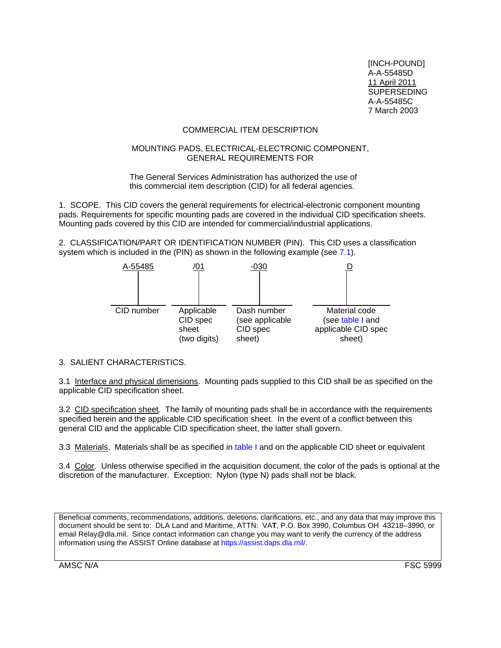[INCH-POUND] A-A-55485D 11 April 2011 **SUPERSEDING** A-A-55485C 7 March 2003

# COMMERCIAL ITEM DESCRIPTION

#### <span id="page-0-0"></span>MOUNTING PADS, ELECTRICAL-ELECTRONIC COMPONENT, GENERAL REQUIREMENTS FOR

The General Services Administration has authorized the use of this commercial item description (CID) for all federal agencies.

1. SCOPE. This CID covers the general requirements for electrical-electronic component mounting pads. Requirements for specific mounting pads are covered in the individual CID specification sheets. Mounting pads covered by this CID are intended for commercial/industrial applications.

2. CLASSIFICATION/PART OR IDENTIFICATION NUMBER (PIN). This CID uses a classification system which is included in the (PIN) as shown in the following example (see [7.1\)](#page-2-0).



# 3. SALIENT CHARACTERISTICS.

3.1 Interface and physical dimensions. Mounting pads supplied to this CID shall be as specified on the applicable CID specification sheet.

3.2 CID specification sheet. The family of mounting pads shall be in accordance with the requirements specified herein and the applicable CID specification sheet. In the event of a conflict between this general CID and the applicable CID specification sheet, the latter shall govern.

3.3 Materials. Materials shall be as specified in [table I a](#page-1-0)nd on the applicable CID sheet or equivalent

3.4 Color. Unless otherwise specified in the acquisition document, the color of the pads is optional at the discretion of the manufacturer. Exception: Nylon (type N) pads shall not be black.

Beneficial comments, recommendations, additions, deletions, clarifications, etc., and any data that may improve this document should be sent to: DLA Land and Maritime, ATTN: VA**T**, P.O. Box 3990, Columbus OH 43218–3990, or email Relay@dla.mil. Since contact information can change you may want to verify the currency of the address information using the ASSIST Online database at https://assist.daps.dla.mil/.

AMSC N/A FSC 5999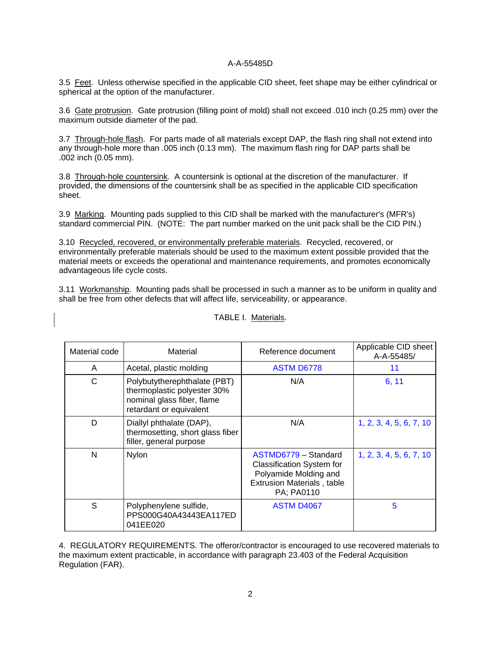# A-A-55485D

<span id="page-1-0"></span>3.5 Feet. Unless otherwise specified in the applicable CID sheet, feet shape may be either cylindrical or spherical at the option of the manufacturer.

3.6 Gate protrusion. Gate protrusion (filling point of mold) shall not exceed .010 inch (0.25 mm) over the maximum outside diameter of the pad.

3.7 Through-hole flash. For parts made of all materials except DAP, the flash ring shall not extend into any through-hole more than .005 inch (0.13 mm). The maximum flash ring for DAP parts shall be .002 inch (0.05 mm).

3.8 Through-hole countersink. A countersink is optional at the discretion of the manufacturer. If provided, the dimensions of the countersink shall be as specified in the applicable CID specification sheet.

3.9 Marking. Mounting pads supplied to this CID shall be marked with the manufacturer's (MFR's) standard commercial PIN. (NOTE: The part number marked on the unit pack shall be the CID PIN.)

3.10 Recycled, recovered, or environmentally preferable materials. Recycled, recovered, or environmentally preferable materials should be used to the maximum extent possible provided that the material meets or exceeds the operational and maintenance requirements, and promotes economically advantageous life cycle costs.

3.11 Workmanship. Mounting pads shall be processed in such a manner as to be uniform in quality and shall be free from other defects that will affect life, serviceability, or appearance.

| Material code | Material                                                                                                             | Reference document                                                                                                                   | Applicable CID sheet<br>A-A-55485/ |
|---------------|----------------------------------------------------------------------------------------------------------------------|--------------------------------------------------------------------------------------------------------------------------------------|------------------------------------|
| A             | Acetal, plastic molding                                                                                              | <b>ASTM D6778</b>                                                                                                                    | 11                                 |
| C             | Polybutytherephthalate (PBT)<br>thermoplastic polyester 30%<br>nominal glass fiber, flame<br>retardant or equivalent | N/A                                                                                                                                  | 6, 11                              |
| D             | Diallyl phthalate (DAP),<br>thermosetting, short glass fiber<br>filler, general purpose                              | N/A                                                                                                                                  | 1, 2, 3, 4, 5, 6, 7, 10            |
| N             | Nylon                                                                                                                | ASTMD6779 - Standard<br><b>Classification System for</b><br>Polyamide Molding and<br><b>Extrusion Materials, table</b><br>PA; PA0110 | 1, 2, 3, 4, 5, 6, 7, 10            |
| S             | Polyphenylene sulfide,<br>PPS000G40A43443EA117ED<br>041EE020                                                         | <b>ASTM D4067</b>                                                                                                                    | 5                                  |

TABLE I. Materials.

4. REGULATORY REQUIREMENTS. The offeror/contractor is encouraged to use recovered materials to the maximum extent practicable, in accordance with paragraph 23.403 of the Federal Acquisition Regulation (FAR).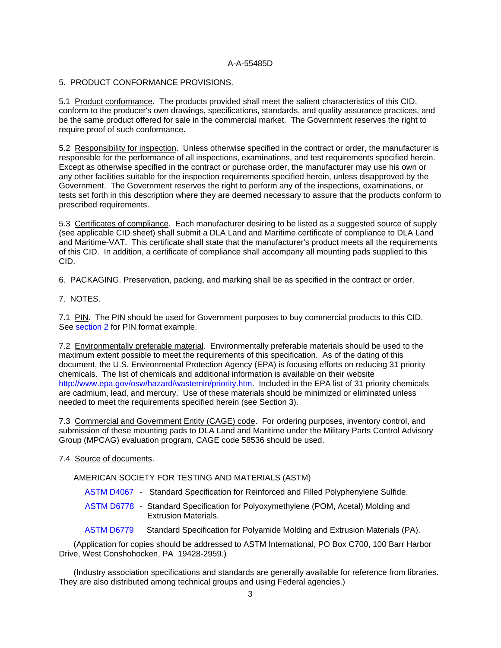### A-A-55485D

#### <span id="page-2-0"></span>5. PRODUCT CONFORMANCE PROVISIONS.

5.1 Product conformance. The products provided shall meet the salient characteristics of this CID, conform to the producer's own drawings, specifications, standards, and quality assurance practices, and be the same product offered for sale in the commercial market. The Government reserves the right to require proof of such conformance.

5.2 Responsibility for inspection. Unless otherwise specified in the contract or order, the manufacturer is responsible for the performance of all inspections, examinations, and test requirements specified herein. Except as otherwise specified in the contract or purchase order, the manufacturer may use his own or any other facilities suitable for the inspection requirements specified herein, unless disapproved by the Government. The Government reserves the right to perform any of the inspections, examinations, or tests set forth in this description where they are deemed necessary to assure that the products conform to prescribed requirements.

5.3 Certificates of compliance. Each manufacturer desiring to be listed as a suggested source of supply (see applicable CID sheet) shall submit a DLA Land and Maritime certificate of compliance to DLA Land and Maritime-VAT. This certificate shall state that the manufacturer's product meets all the requirements of this CID. In addition, a certificate of compliance shall accompany all mounting pads supplied to this CID.

6. PACKAGING. Preservation, packing, and marking shall be as specified in the contract or order.

7. NOTES.

7.1 PIN. The PIN should be used for Government purposes to buy commercial products to this CID. See [section 2 fo](#page-0-0)r PIN format example.

7.2 Environmentally preferable material. Environmentally preferable materials should be used to the maximum extent possible to meet the requirements of this specification. As of the dating of this document, the U.S. Environmental Protection Agency (EPA) is focusing efforts on reducing 31 priority chemicals. The list of chemicals and additional information is available on their website [http://www.epa.gov/osw/hazard/wastemin/priority.htm.](http://www.epa.gov/osw/hazard/wastemin/priority.htm) Included in the EPA list of 31 priority chemicals are cadmium, lead, and mercury. Use of these materials should be minimized or eliminated unless needed to meet the requirements specified herein (see Section 3).

7.3 Commercial and Government Entity (CAGE) code. For ordering purposes, inventory control, and submission of these mounting pads to DLA Land and Maritime under the Military Parts Control Advisory Group (MPCAG) evaluation program, CAGE code 58536 should be used.

### 7.4 Source of documents.

AMERICAN SOCIETY FOR TESTING AND MATERIALS (ASTM)

- ASTM D4067 Standard Specification for Reinforced and Filled Polyphenylene Sulfide.
- [ASTM D6778](https://assist.daps.dla.mil/quicksearch/)  Standard Specification for Polyoxymethylene (POM, Acetal) Molding and Extrusion Materials.
- ASTM D6779 Standard Specification for Polyamide Molding and Extrusion Materials (PA).

(Application for copies should be addressed to ASTM International, PO Box C700, 100 Barr Harbor Drive, West Conshohocken, PA 19428-2959.)

(Industry association specifications and standards are generally available for reference from libraries. They are also distributed among technical groups and using Federal agencies.)